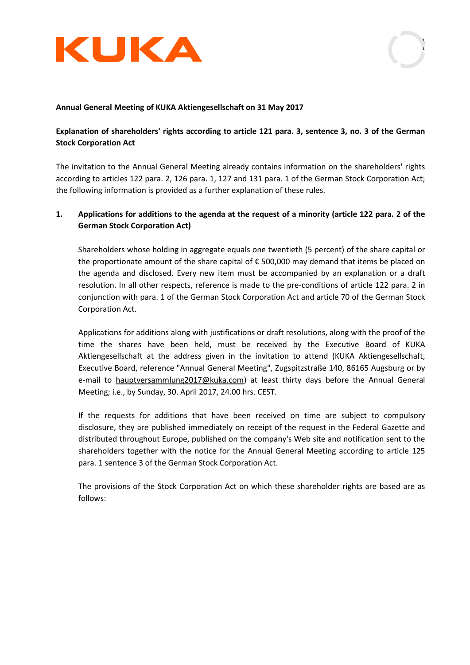



### **Annual General Meeting of KUKA Aktiengesellschaft on 31 May 2017**

# **Explanation of shareholders' rights according to article 121 para. 3, sentence 3, no. 3 of the German Stock Corporation Act**

The invitation to the Annual General Meeting already contains information on the shareholders' rights according to articles 122 para. 2, 126 para. 1, 127 and 131 para. 1 of the German Stock Corporation Act; the following information is provided as a further explanation of these rules.

# **1. Applications for additions to the agenda at the request of a minority (article 122 para. 2 of the German Stock Corporation Act)**

Shareholders whose holding in aggregate equals one twentieth (5 percent) of the share capital or the proportionate amount of the share capital of  $\epsilon$  500,000 may demand that items be placed on the agenda and disclosed. Every new item must be accompanied by an explanation or a draft resolution. In all other respects, reference is made to the pre-conditions of article 122 para. 2 in conjunction with para. 1 of the German Stock Corporation Act and article 70 of the German Stock Corporation Act.

Applications for additions along with justifications or draft resolutions, along with the proof of the time the shares have been held, must be received by the Executive Board of KUKA Aktiengesellschaft at the address given in the invitation to attend (KUKA Aktiengesellschaft, Executive Board, reference "Annual General Meeting", Zugspitzstraße 140, 86165 Augsburg or by e-mail to hauptversammlung2017@kuka.com) at least thirty days before the Annual General Meeting; i.e., by Sunday, 30. April 2017, 24.00 hrs. CEST.

If the requests for additions that have been received on time are subject to compulsory disclosure, they are published immediately on receipt of the request in the Federal Gazette and distributed throughout Europe, published on the company's Web site and notification sent to the shareholders together with the notice for the Annual General Meeting according to article 125 para. 1 sentence 3 of the German Stock Corporation Act.

The provisions of the Stock Corporation Act on which these shareholder rights are based are as follows: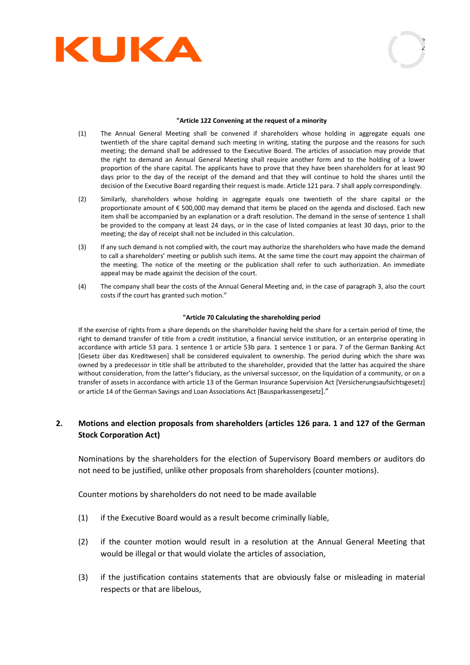



#### **"Article 122 Convening at the request of a minority**

- (1) The Annual General Meeting shall be convened if shareholders whose holding in aggregate equals one twentieth of the share capital demand such meeting in writing, stating the purpose and the reasons for such meeting; the demand shall be addressed to the Executive Board. The articles of association may provide that the right to demand an Annual General Meeting shall require another form and to the holding of a lower proportion of the share capital. The applicants have to prove that they have been shareholders for at least 90 days prior to the day of the receipt of the demand and that they will continue to hold the shares until the decision of the Executive Board regarding their request is made. Article 121 para. 7 shall apply correspondingly.
- (2) Similarly, shareholders whose holding in aggregate equals one twentieth of the share capital or the proportionate amount of € 500,000 may demand that items be placed on the agenda and disclosed. Each new item shall be accompanied by an explanation or a draft resolution. The demand in the sense of sentence 1 shall be provided to the company at least 24 days, or in the case of listed companies at least 30 days, prior to the meeting; the day of receipt shall not be included in this calculation.
- (3) If any such demand is not complied with, the court may authorize the shareholders who have made the demand to call a shareholders' meeting or publish such items. At the same time the court may appoint the chairman of the meeting. The notice of the meeting or the publication shall refer to such authorization. An immediate appeal may be made against the decision of the court.
- (4) The company shall bear the costs of the Annual General Meeting and, in the case of paragraph 3, also the court costs if the court has granted such motion."

#### **"Article 70 Calculating the shareholding period**

If the exercise of rights from a share depends on the shareholder having held the share for a certain period of time, the right to demand transfer of title from a credit institution, a financial service institution, or an enterprise operating in accordance with article 53 para. 1 sentence 1 or article 53b para. 1 sentence 1 or para. 7 of the German Banking Act [Gesetz über das Kreditwesen] shall be considered equivalent to ownership. The period during which the share was owned by a predecessor in title shall be attributed to the shareholder, provided that the latter has acquired the share without consideration, from the latter's fiduciary, as the universal successor, on the liquidation of a community, or on a transfer of assets in accordance with article 13 of the German Insurance Supervision Act [Versicherungsaufsichtsgesetz] or article 14 of the German Savings and Loan Associations Act [Bausparkassengesetz]."

## **2. Motions and election proposals from shareholders (articles 126 para. 1 and 127 of the German Stock Corporation Act)**

Nominations by the shareholders for the election of Supervisory Board members or auditors do not need to be justified, unlike other proposals from shareholders (counter motions).

Counter motions by shareholders do not need to be made available

- (1) if the Executive Board would as a result become criminally liable,
- (2) if the counter motion would result in a resolution at the Annual General Meeting that would be illegal or that would violate the articles of association,
- (3) if the justification contains statements that are obviously false or misleading in material respects or that are libelous,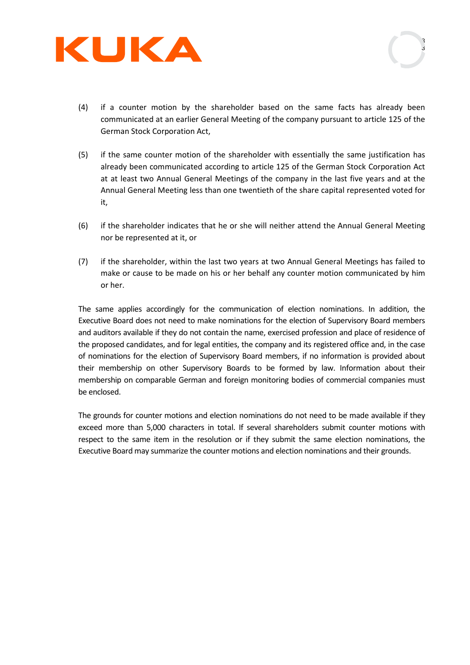



- (4) if a counter motion by the shareholder based on the same facts has already been communicated at an earlier General Meeting of the company pursuant to article 125 of the German Stock Corporation Act,
- (5) if the same counter motion of the shareholder with essentially the same justification has already been communicated according to article 125 of the German Stock Corporation Act at at least two Annual General Meetings of the company in the last five years and at the Annual General Meeting less than one twentieth of the share capital represented voted for it,
- (6) if the shareholder indicates that he or she will neither attend the Annual General Meeting nor be represented at it, or
- (7) if the shareholder, within the last two years at two Annual General Meetings has failed to make or cause to be made on his or her behalf any counter motion communicated by him or her.

The same applies accordingly for the communication of election nominations. In addition, the Executive Board does not need to make nominations for the election of Supervisory Board members and auditors available if they do not contain the name, exercised profession and place of residence of the proposed candidates, and for legal entities, the company and its registered office and, in the case of nominations for the election of Supervisory Board members, if no information is provided about their membership on other Supervisory Boards to be formed by law. Information about their membership on comparable German and foreign monitoring bodies of commercial companies must be enclosed.

The grounds for counter motions and election nominations do not need to be made available if they exceed more than 5,000 characters in total. If several shareholders submit counter motions with respect to the same item in the resolution or if they submit the same election nominations, the Executive Board may summarize the counter motions and election nominations and their grounds.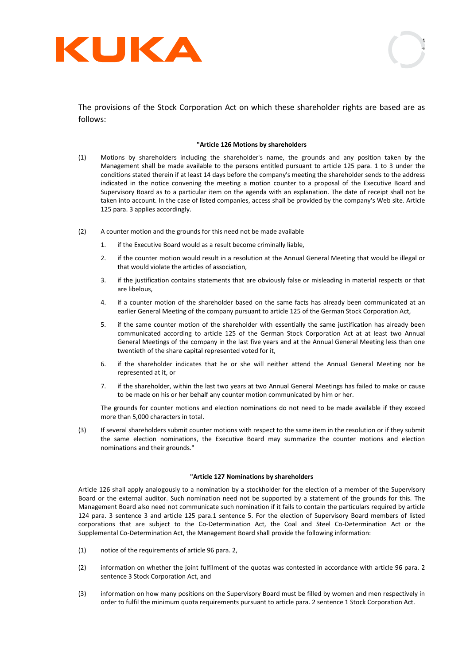



The provisions of the Stock Corporation Act on which these shareholder rights are based are as follows:

### **"Article 126 Motions by shareholders**

- (1) Motions by shareholders including the shareholder's name, the grounds and any position taken by the Management shall be made available to the persons entitled pursuant to article 125 para. 1 to 3 under the conditions stated therein if at least 14 days before the company's meeting the shareholder sends to the address indicated in the notice convening the meeting a motion counter to a proposal of the Executive Board and Supervisory Board as to a particular item on the agenda with an explanation. The date of receipt shall not be taken into account. In the case of listed companies, access shall be provided by the company's Web site. Article 125 para. 3 applies accordingly.
- (2) A counter motion and the grounds for this need not be made available
	- 1. if the Executive Board would as a result become criminally liable,
	- 2. if the counter motion would result in a resolution at the Annual General Meeting that would be illegal or that would violate the articles of association,
	- 3. if the justification contains statements that are obviously false or misleading in material respects or that are libelous,
	- 4. if a counter motion of the shareholder based on the same facts has already been communicated at an earlier General Meeting of the company pursuant to article 125 of the German Stock Corporation Act,
	- 5. if the same counter motion of the shareholder with essentially the same justification has already been communicated according to article 125 of the German Stock Corporation Act at at least two Annual General Meetings of the company in the last five years and at the Annual General Meeting less than one twentieth of the share capital represented voted for it,
	- 6. if the shareholder indicates that he or she will neither attend the Annual General Meeting nor be represented at it, or
	- 7. if the shareholder, within the last two years at two Annual General Meetings has failed to make or cause to be made on his or her behalf any counter motion communicated by him or her.

The grounds for counter motions and election nominations do not need to be made available if they exceed more than 5,000 characters in total.

(3) If several shareholders submit counter motions with respect to the same item in the resolution or if they submit the same election nominations, the Executive Board may summarize the counter motions and election nominations and their grounds."

#### **"Article 127 Nominations by shareholders**

Article 126 shall apply analogously to a nomination by a stockholder for the election of a member of the Supervisory Board or the external auditor. Such nomination need not be supported by a statement of the grounds for this. The Management Board also need not communicate such nomination if it fails to contain the particulars required by article 124 para. 3 sentence 3 and article 125 para.1 sentence 5. For the election of Supervisory Board members of listed corporations that are subject to the Co-Determination Act, the Coal and Steel Co-Determination Act or the Supplemental Co-Determination Act, the Management Board shall provide the following information:

- (1) notice of the requirements of article 96 para. 2,
- (2) information on whether the joint fulfilment of the quotas was contested in accordance with article 96 para. 2 sentence 3 Stock Corporation Act, and
- (3) information on how many positions on the Supervisory Board must be filled by women and men respectively in order to fulfil the minimum quota requirements pursuant to article para. 2 sentence 1 Stock Corporation Act.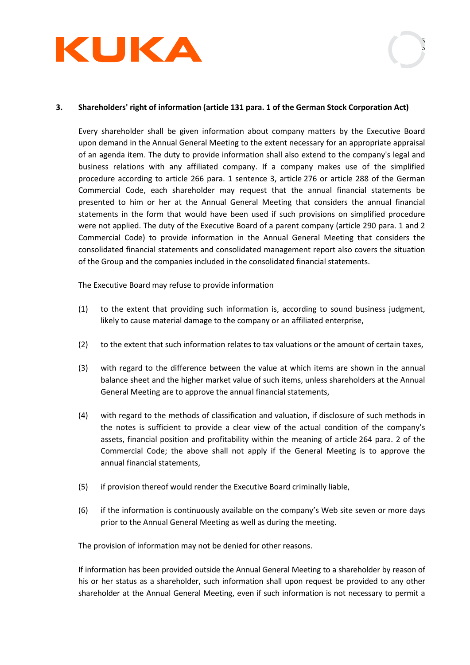

## **3. Shareholders' right of information (article 131 para. 1 of the German Stock Corporation Act)**

Every shareholder shall be given information about company matters by the Executive Board upon demand in the Annual General Meeting to the extent necessary for an appropriate appraisal of an agenda item. The duty to provide information shall also extend to the company's legal and business relations with any affiliated company. If a company makes use of the simplified procedure according to article 266 para. 1 sentence 3, article 276 or article 288 of the German Commercial Code, each shareholder may request that the annual financial statements be presented to him or her at the Annual General Meeting that considers the annual financial statements in the form that would have been used if such provisions on simplified procedure were not applied. The duty of the Executive Board of a parent company (article 290 para. 1 and 2 Commercial Code) to provide information in the Annual General Meeting that considers the consolidated financial statements and consolidated management report also covers the situation of the Group and the companies included in the consolidated financial statements.

The Executive Board may refuse to provide information

- (1) to the extent that providing such information is, according to sound business judgment, likely to cause material damage to the company or an affiliated enterprise,
- (2) to the extent that such information relates to tax valuations or the amount of certain taxes,
- (3) with regard to the difference between the value at which items are shown in the annual balance sheet and the higher market value of such items, unless shareholders at the Annual General Meeting are to approve the annual financial statements,
- (4) with regard to the methods of classification and valuation, if disclosure of such methods in the notes is sufficient to provide a clear view of the actual condition of the company's assets, financial position and profitability within the meaning of article 264 para. 2 of the Commercial Code; the above shall not apply if the General Meeting is to approve the annual financial statements,
- (5) if provision thereof would render the Executive Board criminally liable,
- (6) if the information is continuously available on the company's Web site seven or more days prior to the Annual General Meeting as well as during the meeting.

The provision of information may not be denied for other reasons.

If information has been provided outside the Annual General Meeting to a shareholder by reason of his or her status as a shareholder, such information shall upon request be provided to any other shareholder at the Annual General Meeting, even if such information is not necessary to permit a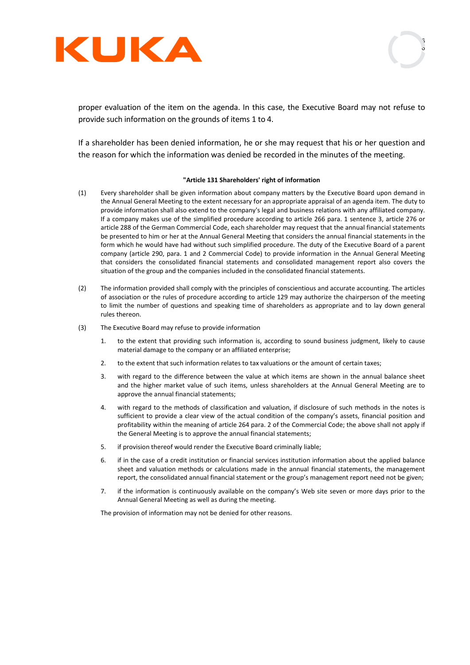



proper evaluation of the item on the agenda. In this case, the Executive Board may not refuse to provide such information on the grounds of items 1 to 4.

If a shareholder has been denied information, he or she may request that his or her question and the reason for which the information was denied be recorded in the minutes of the meeting.

### **"Article 131 Shareholders' right of information**

- (1) Every shareholder shall be given information about company matters by the Executive Board upon demand in the Annual General Meeting to the extent necessary for an appropriate appraisal of an agenda item. The duty to provide information shall also extend to the company's legal and business relations with any affiliated company. If a company makes use of the simplified procedure according to article 266 para. 1 sentence 3, article 276 or article 288 of the German Commercial Code, each shareholder may request that the annual financial statements be presented to him or her at the Annual General Meeting that considers the annual financial statements in the form which he would have had without such simplified procedure. The duty of the Executive Board of a parent company (article 290, para. 1 and 2 Commercial Code) to provide information in the Annual General Meeting that considers the consolidated financial statements and consolidated management report also covers the situation of the group and the companies included in the consolidated financial statements.
- (2) The information provided shall comply with the principles of conscientious and accurate accounting. The articles of association or the rules of procedure according to article 129 may authorize the chairperson of the meeting to limit the number of questions and speaking time of shareholders as appropriate and to lay down general rules thereon.
- (3) The Executive Board may refuse to provide information
	- 1. to the extent that providing such information is, according to sound business judgment, likely to cause material damage to the company or an affiliated enterprise;
	- 2. to the extent that such information relates to tax valuations or the amount of certain taxes;
	- 3. with regard to the difference between the value at which items are shown in the annual balance sheet and the higher market value of such items, unless shareholders at the Annual General Meeting are to approve the annual financial statements;
	- 4. with regard to the methods of classification and valuation, if disclosure of such methods in the notes is sufficient to provide a clear view of the actual condition of the company's assets, financial position and profitability within the meaning of article 264 para. 2 of the Commercial Code; the above shall not apply if the General Meeting is to approve the annual financial statements;
	- 5. if provision thereof would render the Executive Board criminally liable;
	- 6. if in the case of a credit institution or financial services institution information about the applied balance sheet and valuation methods or calculations made in the annual financial statements, the management report, the consolidated annual financial statement or the group's management report need not be given;
	- 7. if the information is continuously available on the company's Web site seven or more days prior to the Annual General Meeting as well as during the meeting.

The provision of information may not be denied for other reasons.